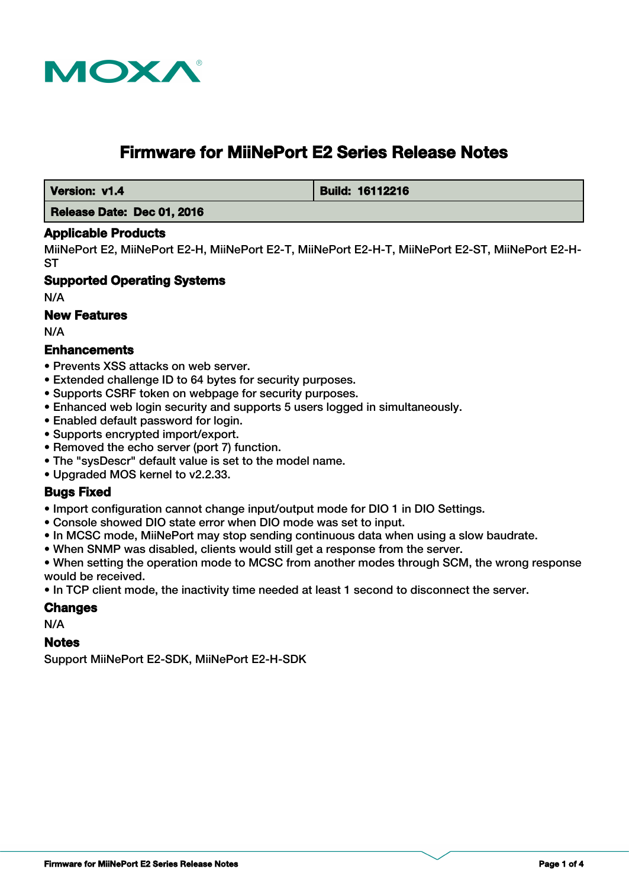

# **Firmware for MiiNePort E2 Series Release Notes**

 **Version: v1.4 Build: 16112216** 

# **Release Date: Dec 01, 2016**

# **Applicable Products**

MiiNePort E2, MiiNePort E2-H, MiiNePort E2-T, MiiNePort E2-H-T, MiiNePort E2-ST, MiiNePort E2-H-ST

# **Supported Operating Systems**

N/A

# **New Features**

N/A

# **Enhancements**

- Prevents XSS attacks on web server.
- Extended challenge ID to 64 bytes for security purposes.
- Supports CSRF token on webpage for security purposes.
- Enhanced web login security and supports 5 users logged in simultaneously.
- Enabled default password for login.
- Supports encrypted import/export.
- Removed the echo server (port 7) function.
- The "sysDescr" default value is set to the model name.
- Upgraded MOS kernel to v2.2.33.

# **Bugs Fixed**

- Import configuration cannot change input/output mode for DIO 1 in DIO Settings.
- Console showed DIO state error when DIO mode was set to input.
- In MCSC mode, MiiNePort may stop sending continuous data when using a slow baudrate.
- When SNMP was disabled, clients would still get a response from the server.

• When setting the operation mode to MCSC from another modes through SCM, the wrong response would be received.

• In TCP client mode, the inactivity time needed at least 1 second to disconnect the server.

# **Changes**

N/A

# **Notes**

Support MiiNePort E2-SDK, MiiNePort E2-H-SDK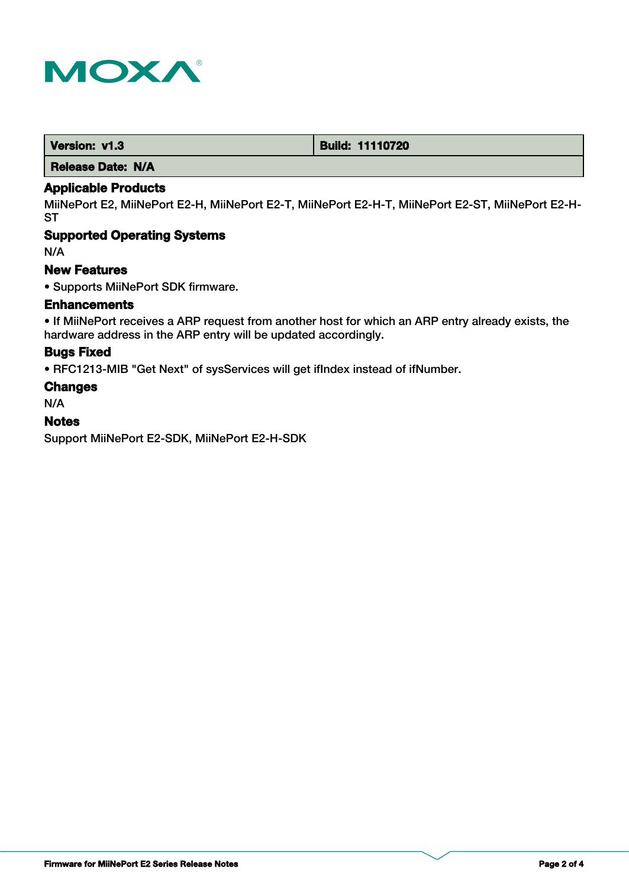

| Version: v1.3 | <b>Build: 11110720</b> |
|---------------|------------------------|
|---------------|------------------------|

 **Release Date: N/A**

# **Applicable Products**

MiiNePort E2, MiiNePort E2-H, MiiNePort E2-T, MiiNePort E2-H-T, MiiNePort E2-ST, MiiNePort E2-H-**ST** 

# **Supported Operating Systems**

N/A

#### **New Features**

• Supports MiiNePort SDK firmware.

# **Enhancements**

• If MiiNePort receives a ARP request from another host for which an ARP entry already exists, the hardware address in the ARP entry will be updated accordingly.

#### **Bugs Fixed**

• RFC1213-MIB "Get Next" of sysServices will get ifIndex instead of ifNumber.

#### **Changes**

N/A

# **Notes**

Support MiiNePort E2-SDK, MiiNePort E2-H-SDK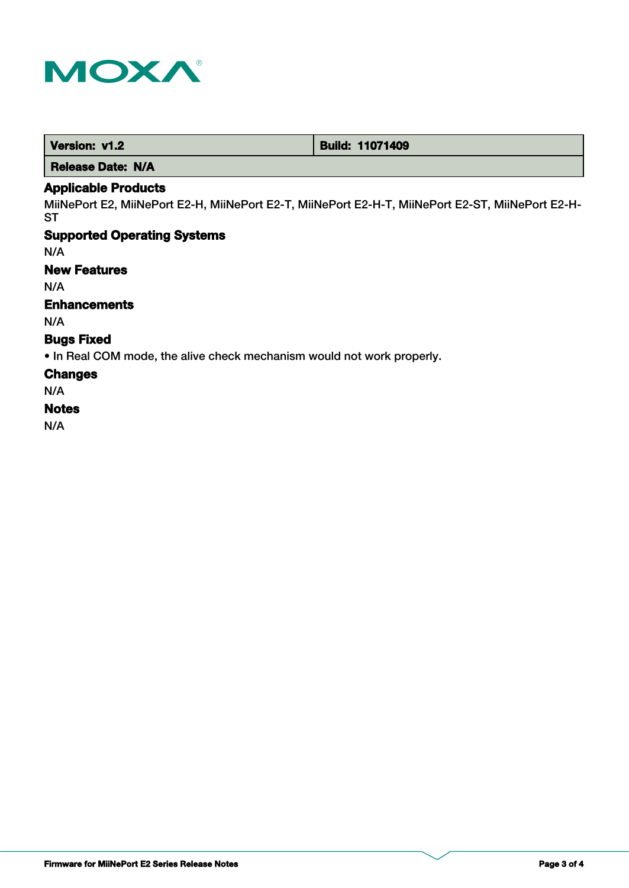

| <b>Build: 11071409</b><br>Version: v1.2 |
|-----------------------------------------|
|-----------------------------------------|

 **Release Date: N/A**

# **Applicable Products**

MiiNePort E2, MiiNePort E2-H, MiiNePort E2-T, MiiNePort E2-H-T, MiiNePort E2-ST, MiiNePort E2-H-**ST** 

# **Supported Operating Systems**

N/A

# **New Features**

N/A

# **Enhancements**

N/A

# **Bugs Fixed**

• In Real COM mode, the alive check mechanism would not work properly.

#### **Changes**

N/A

# **Notes**

N/A